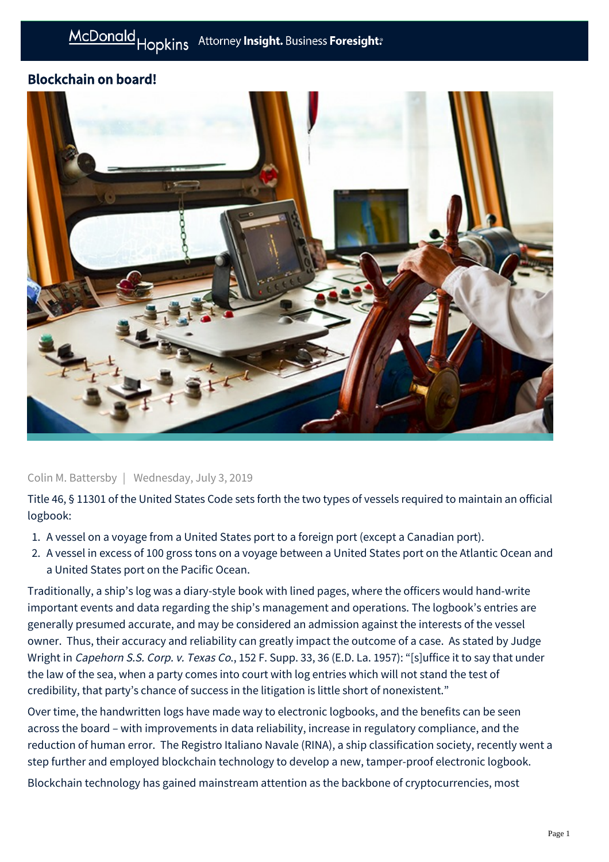## Blockchain on board!



Colin M. Battersby | Wednesday, July 3, 2019

Title 46, § 11301 of the United States Code sets forth the two types of vessels required to maintain an official logbook:

- 1. A vessel on a voyage from a United States port to a foreign port (except a Canadian port).
- 2. A vessel in excess of 100 gross tons on a voyage between a United States port on the Atlantic Ocean and a United States port on the Pacific Ocean.

Traditionally, a ship's log was a diary-style book with lined pages, where the officers would hand-write important events and data regarding the ship's management and operations. The logbook's entries are generally presumed accurate, and may be considered an admission against the interests of the vessel owner. Thus, their accuracy and reliability can greatly impact the outcome of a case. As stated by Judge Wright in Capehorn S.S. Corp. v. Texas Co., 152 F. Supp. 33, 36 (E.D. La. 1957): "[s]uffice it to say that under the law of the sea, when a party comes into court with log entries which will not stand the test of credibility, that party's chance of success in the litigation is little short of nonexistent."

Over time, the handwritten logs have made way to electronic logbooks, and the benefits can be seen across the board – with improvements in data reliability, increase in regulatory compliance, and the reduction of human error. The Registro Italiano Navale (RINA), a ship classification society, recently went a step further and employed blockchain technology to develop a new, tamper-proof electronic logbook.

Blockchain technology has gained mainstream attention as the backbone of cryptocurrencies, most